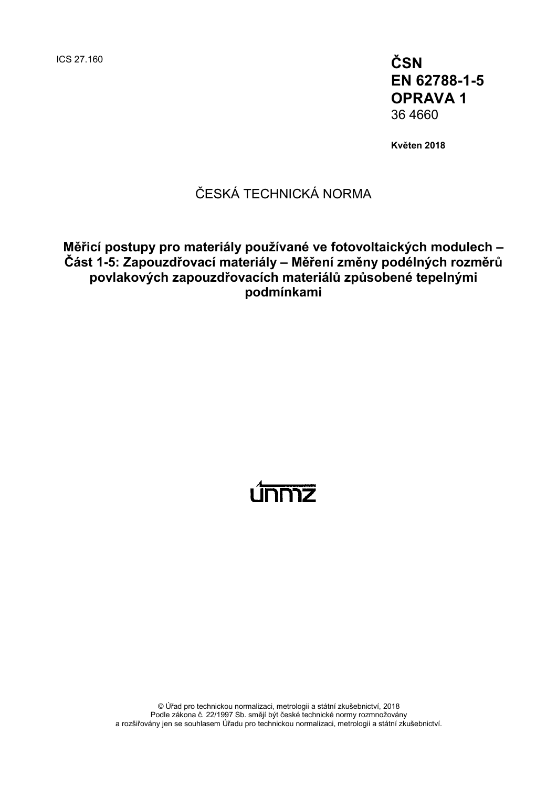ICS 27.160 **ČSN EN 62788-1-5 OPRAVA 1** 36 4660

**Květen 2018**

### ČESKÁ TECHNICKÁ NORMA

### **Měřicí postupy pro materiály používané ve fotovoltaických modulech – Část 1-5: Zapouzdřovací materiály – Měření změny podélných rozměrů povlakových zapouzdřovacích materiálů způsobené tepelnými podmínkami**

# <u>únnnz</u>

© Úřad pro technickou normalizaci, metrologii a státní zkušebnictví, 2018 Podle zákona č. 22/1997 Sb. smějí být české technické normy rozmnožovány a rozšiřovány jen se souhlasem Úřadu pro technickou normalizaci, metrologii a státní zkušebnictví.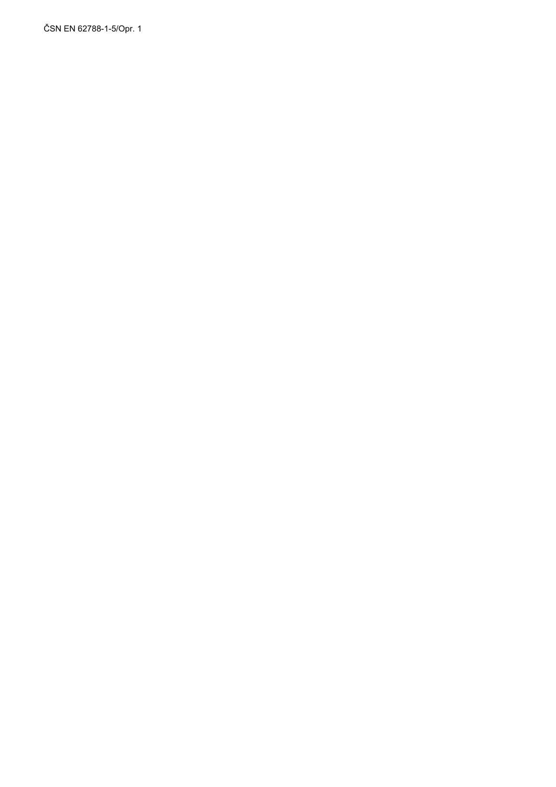ČSN EN 62788-1-5/Opr. 1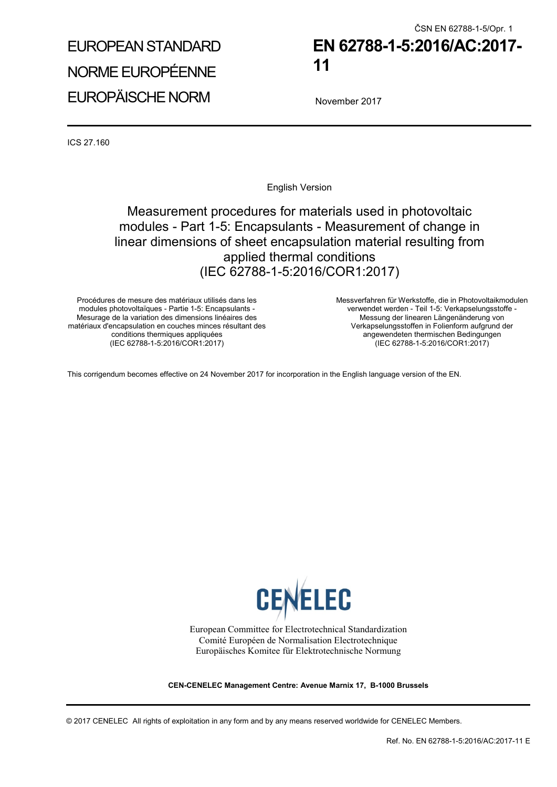ČSN EN 62788-1-5/Opr. 1

# EUROPEAN STANDARD NORME EUROPÉENNE EUROPÄISCHE NORM

## **EN 62788-1-5:2016/AC:2017- 11**

November 2017

ICS 27.160

English Version

 Measurement procedures for materials used in photovoltaic modules - Part 1-5: Encapsulants - Measurement of change in linear dimensions of sheet encapsulation material resulting from applied thermal conditions (IEC 62788-1-5:2016/COR1:2017)

Procédures de mesure des matériaux utilisés dans les modules photovoltaïques - Partie 1-5: Encapsulants - Mesurage de la variation des dimensions linéaires des matériaux d'encapsulation en couches minces résultant des conditions thermiques appliquées (IEC 62788-1-5:2016/COR1:2017)

 Messverfahren für Werkstoffe, die in Photovoltaikmodulen verwendet werden - Teil 1-5: Verkapselungsstoffe - Messung der linearen Längenänderung von Verkapselungsstoffen in Folienform aufgrund der angewendeten thermischen Bedingungen (IEC 62788-1-5:2016/COR1:2017)

This corrigendum becomes effective on 24 November 2017 for incorporation in the English language version of the EN.



European Committee for Electrotechnical Standardization Comité Européen de Normalisation Electrotechnique Europäisches Komitee für Elektrotechnische Normung

**CEN-CENELEC Management Centre: Avenue Marnix 17, B-1000 Brussels** 

© 2017 CENELEC All rights of exploitation in any form and by any means reserved worldwide for CENELEC Members.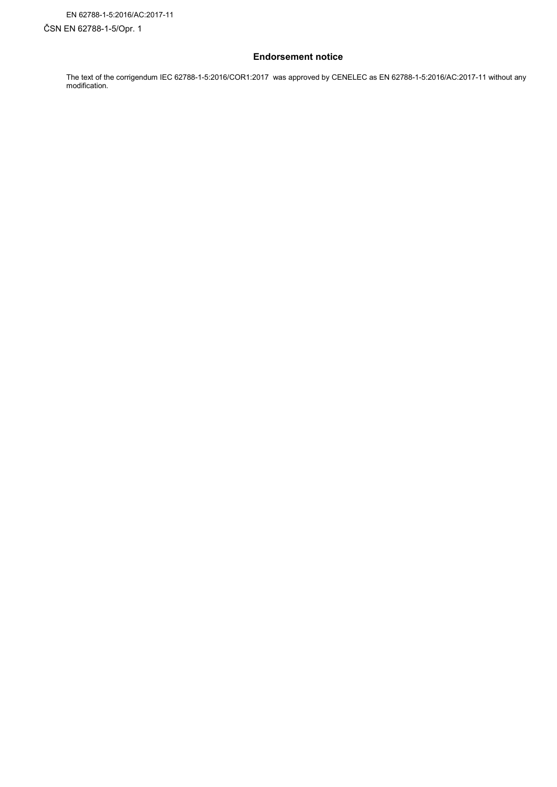EN 62788-1-5:2016/AC:2017-11

ČSN EN 62788-1-5/Opr. 1

### **Endorsement notice**

The text of the corrigendum IEC 62788-1-5:2016/COR1:2017 was approved by CENELEC as EN 62788-1-5:2016/AC:2017-11 without any modification.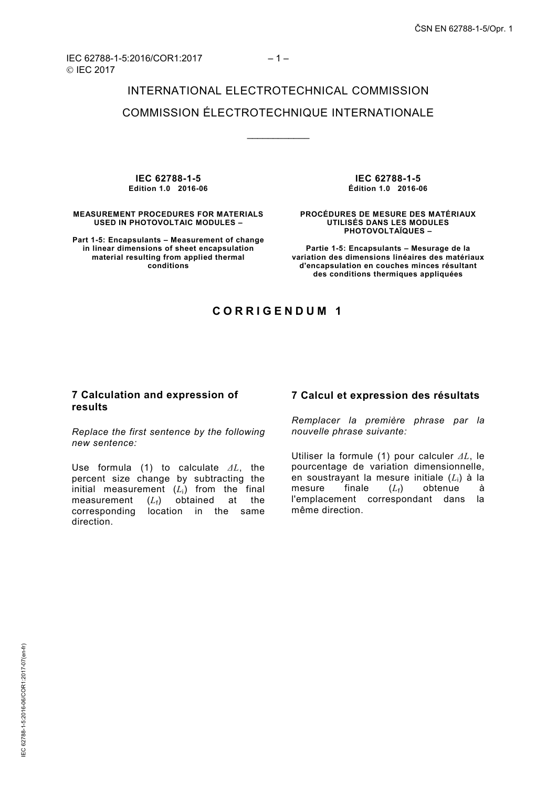IEC 62788-1-5:2016/COR1:2017 – 1 – © IFC 2017

\_\_\_\_\_\_\_\_\_\_\_\_

**IEC 62788-1-5 Edition 1.0 2016-06**

**MEASUREMENT PROCEDURES FOR MATERIALS USED IN PHOTOVOLTAIC MODULES –** 

**Part 1-5: Encapsulants – Measurement of change in linear dimensions of sheet encapsulation material resulting from applied thermal conditions**

**IEC 62788-1-5 Édition 1.0 2016-06**

**PROCÉDURES DE MESURE DES MATÉRIAUX UTILISÉS DANS LES MODULES PHOTOVOLTAÏQUES –** 

**Partie 1-5: Encapsulants – Mesurage de la variation des dimensions linéaires des matériaux d'encapsulation en couches minces résultant des conditions thermiques appliquées**

### **CORRIGENDUM 1**

#### **7 Calculation and expression of results**

*Replace the first sentence by the following new sentence:*

Use formula (1) to calculate *ΔL*, the percent size change by subtracting the initial measurement  $(L_i)$  from the final<br>measurement  $(L_f)$  obtained at the measurement  $(L_f)$ corresponding location in the same direction.

#### **7 Calcul et expression des résultats**

*Remplacer la première phrase par la nouvelle phrase suivante:*

Utiliser la formule (1) pour calculer *ΔL*, le pourcentage de variation dimensionnelle, en soustrayant la mesure initiale (*L*i) à la obtenue l'emplacement correspondant dans la même direction.